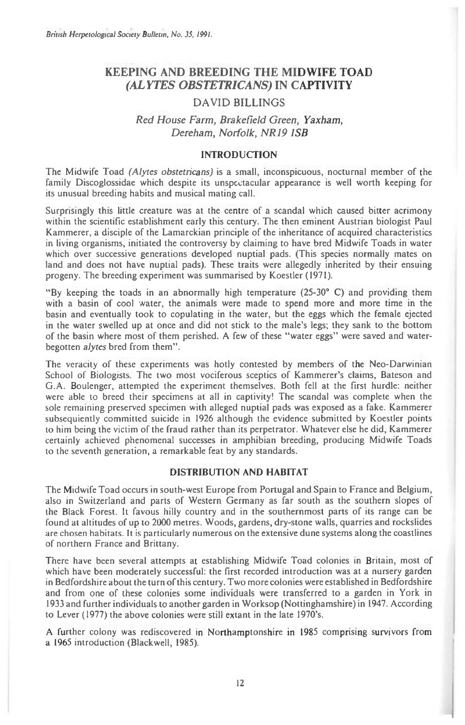# **KEEPING AND BREEDING THE MIDWIFE TOAD**  *(ALYTES OBSTETRICANS)* **IN CAPTIVITY**

## DAVID BILLINGS

## *Red House Farm, Brakefield Green, Yaxham, Dereham, Norfolk, NR19 1SB*

### INTRODUCTION

The Midwife Toad *(Alytes obstetricans) is* a small, inconspicuous, nocturnal member of the family Discoglossidae which despite its unspectacular appearance is well worth keeping for its unusual breeding habits and musical mating call.

Surprisingly this little creature was at the centre of a scandal which caused bitter acrimony within the scientific establishment early this century. The then eminent Austrian biologist Paul Kammerer, a disciple of the Lamarckian principle of the inheritance of acquired characteristics in living organisms, initiated the controversy by claiming to have bred Midwife Toads in water which over successive generations developed nuptial pads. (This species normally mates on land and does not have nuptial pads). These traits were allegedly inherited by their ensuing progeny. The breeding experiment was summarised by Koestler (197I).

"By keeping the toads in an abnormally high temperature (25-30° C) and providing them with a basin of cool water, the animals were made to spend more and more time in the basin and eventually took to copulating in the water, but the eggs which the female ejected in the water swelled up at once and did not stick to the male's legs; they sank to the bottom of the basin where most of them perished. A few of these "water eggs" were saved and waterbegotten *alytes* bred from them".

The veracity of these experiments was hotly contested by members of the Neo-Darwinian School of Biologists. The two most vociferous sceptics of Kammerer's claims, Bateson and G.A. Boulenger, attempted the experiment themselves. Both fell at the first hurdle: neither were able to breed their specimens at all in captivity! The scandal was complete when the sole remaining preserved specimen with alleged nuptial pads was exposed as a fake. Kammerer subsequiently committed suicide in 1926 although the evidence submitted by Koestler points to him being the victim of the fraud rather than its perpetrator. Whatever else he did, Kammerer certainly achieved phenomenal successes in amphibian breeding, producing Midwife Toads to the seventh generation, a remarkable feat by any standards.

### DISTRIBUTION AND HABITAT

The Midwife Toad occurs in south-west Europe from Portugal and Spain to France and Belgium, also in Switzerland and parts of Western Germany as far south as the southern slopes of the Black Forest. It favous hilly country and in the southernmost parts of its range can be found at altitudes of up to 2000 metres. Woods, gardens, dry-stone walls, quarries and rockslides are chosen habitats. It is particularly numerous on the extensive dune systems along the coastlines of northern France and Brittany.

There have been several attempts at establishing Midwife Toad colonies in Britain, most of which have been moderately successful: the first recorded introduction was at a nursery garden in Bedfordshire about the turn of this century. Two more colonies were established in Bedfordshire and from one of these colonies some individuals were transferred to a garden in York in 1933 and further individuals to another garden in Worksop (Nottinghamshire) in 1947. According to Lever (1977) the above colonies were still extant in the late 1970's.

A further colony was rediscovered in Northamptonshire in 1985 comprising survivors from a 1965 introduction (Blackwell, 1985).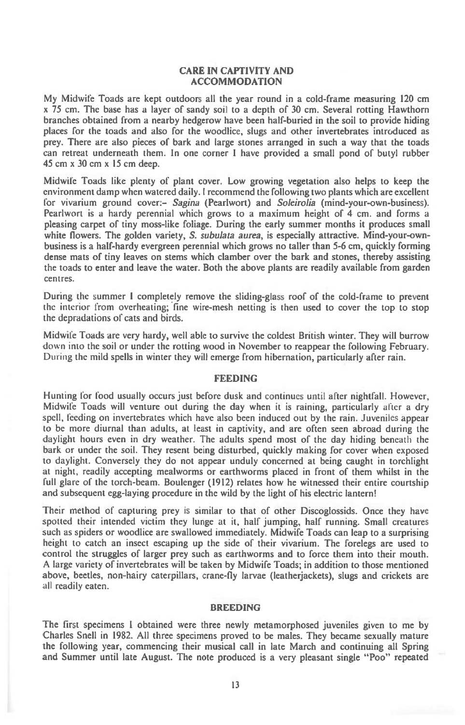#### **CARE IN CAPTIVITY AND ACCOMMODATION**

My Midwife Toads are kept outdoors all the year round in a cold-frame measuring 120 cm x 75 cm. The base has a layer of sandy soil to a depth of 30 cm. Several rotting Hawthorn branches obtained from a nearby hedgerow have been half-buried in the soil to provide hiding places for the toads and also for the woodlice, slugs and other invertebrates introduced as prey. There are also pieces of bark and large stones arranged in such a way that the toads can retreat underneath them. In one corner I have provided a small pond of butyl rubber 45 cm x 30 cm x 15 cm deep.

Midwife Toads like plenty of plant cover. Low growing vegetation also helps to keep the environment damp when watered daily. I recommend the following two plants which are excellent for vivarium ground cover:- **Sagina** (Pearlwort) and **Soleirolia** (mind-your-own-business). Pearlwort is a hardy perennial which grows to a maximum height of 4 cm. and forms a pleasing carpet of tiny moss-like foliage. During the early summer months it produces small white flowers. The golden variety, **S. subulata aurea,** is especially attractive. Mind-your-ownbusiness is a half-hardy evergreen perennial which grows no taller than 5-6 cm, quickly forming dense mats of tiny leaves on stems which clamber over the bark and stones, thereby assisting the toads to enter and leave the water. Both the above plants are readily available from garden centres.

During the summer I completely remove the sliding-glass roof of the cold-frame to prevent the interior from overheating; fine wire-mesh netting is then used to cover the top to stop the depradations of cats and birds.

Midwife Toads are very hardy, well able to survive the coldest British winter. They will burrow down into the soil or under the rotting wood in November to reappear the following February. During the mild spells in winter they will emerge from hibernation, particularly after rain.

#### **FEEDING**

**Hunting for food** usually occurs just before dusk and continues until after nightfall. However, Midwife Toads will venture out during the day when it is raining, particularly alter a dry spell, feeding on invertebrates which have also been induced out by the rain. Juveniles appear to be more diurnal than adults, at least in captivity, and are often seen abroad during the daylight hours even in dry weather. The adults spend most of the day hiding beneath the bark or under the soil. They resent being disturbed, quickly making for cover when exposed to daylight. Conversely they do not appear unduly concerned at being caught in torchlight at night, readily accepting mealworms or earthworms placed in front of them whilst in the full glare of the torch-beam. Boulenger (1912) relates how he witnessed their entire courtship and subsequent egg-laying procedure in the wild by the light of his electric lantern!

Their method of capturing prey is similar to that of other Discoglossids. Once they have spotted their intended victim they lunge at it, half jumping, half running. Small creatures such as spiders or woodlice are swallowed immediately. Midwife Toads can leap to a surprising height to catch an insect escaping up the side of their vivarium. The forelegs are used to control the struggles of larger prey such as earthworms and to force them into their mouth. A large variety of invertebrates will be taken by Midwife Toads; in addition to those mentioned above, beetles, non-hairy caterpillars, crane-fly larvae (leatherjackets), slugs and crickets are all readily eaten.

### **BREEDING**

The first specimens 1 obtained were three newly metamorphosed juveniles given to me by Charles Snell in 1982. All three specimens proved to be males. They became sexually mature the following year, commencing their musical call in late March and continuing all Spring and Summer until late August. The note produced is a very pleasant single "Poo" repeated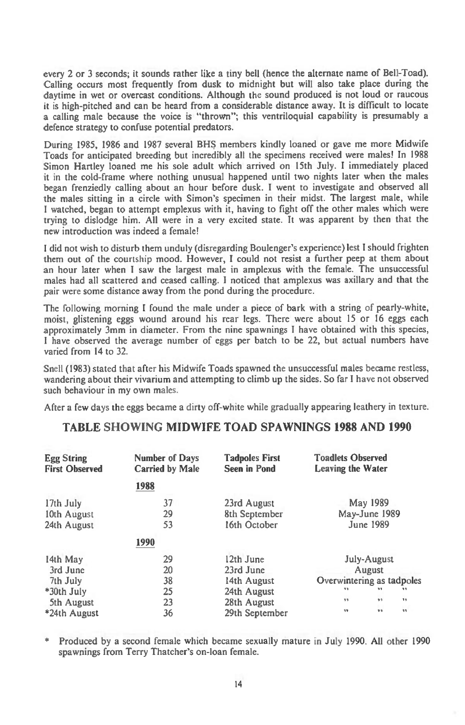every 2 or 3 seconds; it sounds rather like a tiny bell (hence the alternate name of Bell-Toad). Calling occurs most frequently from dusk to midnight but will also take place during the daytime in wet or overcast conditions. Although the sound produced is not loud or raucous it is high-pitched and can be heard from a considerable distance away. It is difficult to locate a calling male because the voice is "thrown"; this ventriloquial capability is presumably a defence strategy to confuse potential predators.

During 1985, 1986 and 1987 several BHS members kindly loaned or gave me more Midwife Toads for anticipated breeding but incredibly all the specimens received were males! In 1988 Simon Hartley loaned me his sole adult which arrived on 15th July. I immediately placed it in the cold-frame where nothing unusual happened until two nights later when the males began frenziedly calling about an hour before dusk. I went to investigate and observed all the males sitting in a circle with Simon's specimen in their midst. The largest male, while I watched, began to attempt emplexus with it, having to fight off the other males which were trying to dislodge him. All were in a very excited state. It was apparent by then that the new introduction was indeed a female!

I did not wish to disturb them unduly (disregarding Boulenger's experience) lest I should frighten them out of the courtship mood. However, I could not resist a further peep at them about an hour later when I saw the largest male in amplexus with the female. The unsuccessful males had all scattered and ceased calling. I noticed that amplexus was axillary and that the pair were some distance away from the pond during the procedure.

The following morning I found the male under a piece of bark with a string of pearly-white, moist, glistening eggs wound around his rear legs. There were about 15 or 16 eggs each approximately 3mm in diameter. From the nine spawnings I have obtained with this species, I have observed the average number of eggs per batch to be 22, but actual numbers have varied from 14 to 32.

Snell (1983) stated that after his Midwife Toads spawned the unsuccessful males became restless, wandering about their vivarium and attempting to climb up the sides. So far I have not observed such behaviour in my own males.

After a few days the eggs became a dirty off-white while gradua ly appearing leathery in texture.

## **TABLE SHOWING MIDWIFE TOAD SPAWNINGS 1988 AND 1990**

| <b>Egg String</b><br><b>First Observed</b> | Number of Days<br><b>Carried by Male</b> | <b>Tadpoles First</b><br><b>Seen in Pond</b> | <b>Toadlets Observed</b><br><b>Leaving the Water</b> |
|--------------------------------------------|------------------------------------------|----------------------------------------------|------------------------------------------------------|
|                                            | 1988                                     |                                              |                                                      |
| 17th July                                  | 37                                       | 23rd August                                  | May 1989                                             |
| 10th August                                | 29                                       | 8th September                                | May-June 1989                                        |
| 24th August                                | 53                                       | 16th October                                 | <b>June 1989</b>                                     |
|                                            | 1990                                     |                                              |                                                      |
| 14th May                                   | 29                                       | 12th June                                    | <b>July-August</b>                                   |
| 3rd June                                   | 20                                       | 23rd June                                    | August                                               |
| 7th July                                   | 38                                       | 14th August                                  | Overwintering as tadpoles                            |
| *30th July                                 | 25                                       | 24th August                                  | $\mathbf{v}$<br>n y<br>33                            |
| 5th August                                 | 23                                       | 28th August                                  | 33<br>95<br>33                                       |
| *24th August                               | 36                                       | 29th September                               | 99<br>n.<br>33                                       |

\* Produced by a second female which became sexually mature in July 1990. All other 1990 spawnings from Terry Thatcher's on-loan female.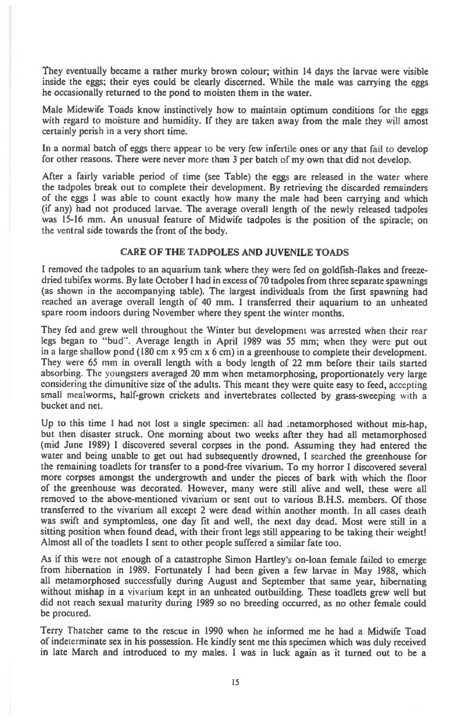**They eventually became a rather murky brown colour; within 14 days the larvae were visible inside the eggs; their eyes could be clearly discerned. While the male was carrying the eggs he occasionally returned to the pond to moisten them in the water.** 

**Male Midewife Toads know instinctively how to maintain optimum conditions for the eggs**  with regard to moisture and humidity. If they are taken away from the male they will amost **certainly perish in a very short time.** 

**In a normal batch of eggs there appear to be very few infertile ones or any that fail to develop for other reasons. There were never more than 3 per batch of my own that did not develop.** 

**After a fairly variable period of time (see Table) the eggs are released in the water where the tadpoles break out to complete their development. By retrieving the discarded remainders of the eggs I was able to count exactly how many the male had been carrying and which (if any) had not produced larvae. The average overall length of the newly released tadpoles was 15-16 mm. An unusual feature of Midwife tadpoles is the position of the spiracle; on the ventral side towards the front of the body.** 

### **CARE OF THE TADPOLES AND JUVENILE TOADS**

**I removed the tadpoles to an aquarium tank where they were fed on goldfish-flakes and freezedried tubifex worms. By late October 1 had in excess of 70 tadpoles from three separate spawnings (as shown in the accompanying table). The largest individuals from the first spawning had reached an average overall length of 40 mm. I transferred their aquarium to an unheated spare room indoors during November where they spent the winter months.** 

**They fed and grew well throughout the Winter but development was arrested when their rear legs began to "bud". Average length in April 1989 was 55 mm; when they were put out in a large shallow pond (180 cm x 95 cm x 6 cm) in a greenhouse to complete their development. They were 65 mm in overall length with a body length of 22 mm before their tails started absorbing. The youngsters averaged 20 mm when metamorphosing, proportionately very large considering the dimunitive size of the adults. This meant they were quite easy to feed, accepting small mealworms, half-grown crickets and invertebrates collected by grass-sweeping** with **a bucket and net.** 

**Up to this time I had not lost a single specimen: all had .netamorphosed without mis-hap, but then disaster struck. One morning about two weeks after they had all metamorphosed (mid June 1989) I discovered several corpses in the pond. Assuming they had entered the water and being unable to get out had subsequently drowned, I searched the greenhouse for the remaining toadlets for transfer to a pond-free vivarium. To my horror I discovered several more corpses amongst the undergrowth and under the pieces of bark with which the floor of the greenhouse was decorated. However, many were still alive and well, these were all removed to the above-mentioned vivarium or sent out to various B.H.S. members. Of those transferred to the vivarium all except 2 were dead within another month. In all cases death was swift and symptomless, one day fit and well, the next day dead. Most were still in a sitting position when found dead, with their front legs still appearing to be taking their weight! Almost all of the toadlets I sent to other people suffered a similar fate too.** 

**As if this were not enough of a catastrophe Simon Hartley's on-loan female failed to emerge from hibernation in 1989. Fortunately I had been given a few larvae in May 1988, which all metamorphosed successfully during August and September that same year, hibernating without mishap in a** vivarium **kept in an unheated outbuilding. These toadlets grew well but did not reach sexual maturity during 1989 so no breeding occurred, as no other female could be procured.** 

**Terry Thatcher came to the rescue in 1990 when he informed me he had a Midwife Toad of indeterminate sex in his possession. He kindly sent me this specimen which was duly received in late March and introduced to my males. I was in luck again as it turned out to be a**